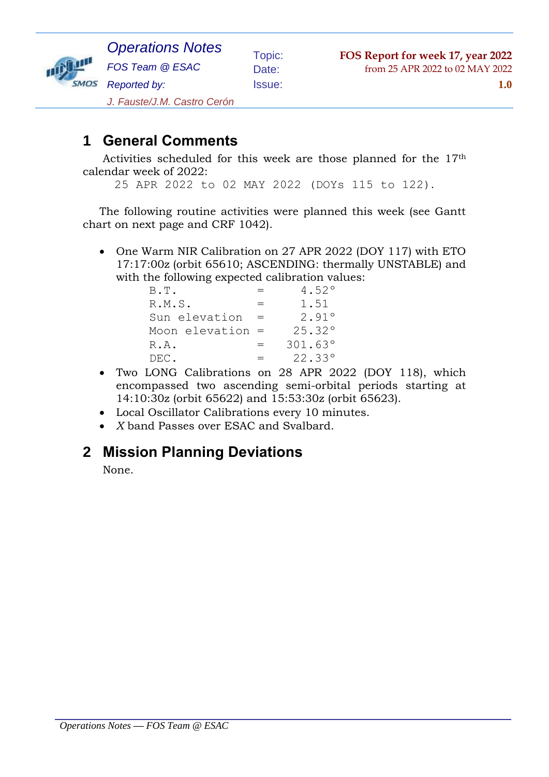

Activities scheduled for this week are those planned for the 17th calendar week of 2022:

25 APR 2022 to 02 MAY 2022 (DOYs 115 to 122).

The following routine activities were planned this week (see Gantt chart on next page and CRF 1042).

 One Warm NIR Calibration on 27 APR 2022 (DOY 117) with ETO 17:17:00z (orbit 65610; ASCENDING: thermally UNSTABLE) and with the following expected calibration values:

| B.T.               |     | 4.52°   |
|--------------------|-----|---------|
| R.M.S.             | $=$ | 1.51    |
| Sun elevation      |     | 2.91°   |
| Moon elevation $=$ |     | 25.32°  |
| R.A.               |     | 301.63° |
| DEC.               | $=$ | 22.33°  |

- Two LONG Calibrations on 28 APR 2022 (DOY 118), which encompassed two ascending semi-orbital periods starting at 14:10:30z (orbit 65622) and 15:53:30z (orbit 65623).
- Local Oscillator Calibrations every 10 minutes.
- *X* band Passes over ESAC and Svalbard.

#### **2 Mission Planning Deviations**

None.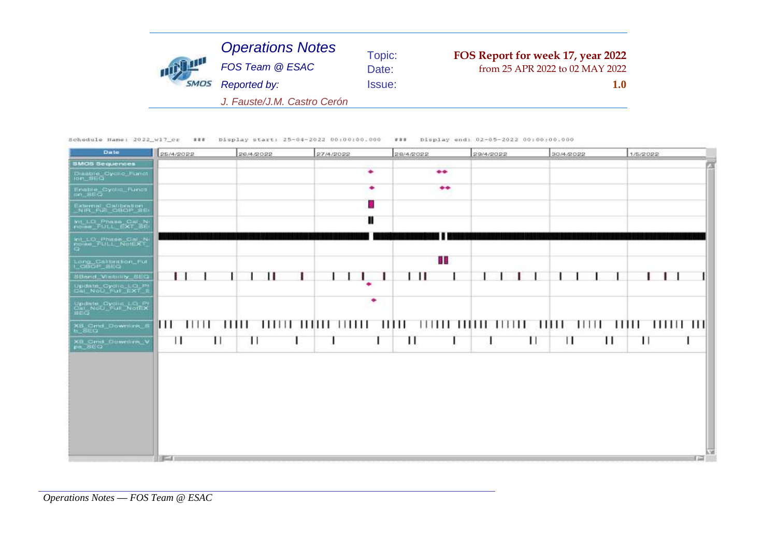| <b>1999 1999</b> | <b>Operations Notes</b>     | Topic:        | FOS Report for week 17, year 2022 |
|------------------|-----------------------------|---------------|-----------------------------------|
|                  | FOS Team @ ESAC             | Date:         | from 25 APR 2022 to 02 MAY 2022   |
|                  | Reported by:                | <b>Issue:</b> | 1.0                               |
|                  | J. Fauste/J.M. Castro Cerón |               |                                   |

Schedule Hame: 2022\_w17\_cr ### bisplay start: 25-04-2022 00:00:00.000 ### bisplay end: 02-05-2022 00:00:00.000

| Date                                                      | 25/4/2022        | 26/4/2022 | 27/4/2022 | 28/4/2022        | 29/4/2022 | 30/4/2022        | 1/5/2022     |
|-----------------------------------------------------------|------------------|-----------|-----------|------------------|-----------|------------------|--------------|
| <b>SMCS Sequences</b>                                     |                  |           |           |                  |           |                  |              |
| Diamore Oyclic Functi<br>Ion_SEO                          |                  |           | ٠         | $\bullet\bullet$ |           |                  |              |
| Enable_Cyclic_Funct<br>ion_SEQ                            |                  |           | ۰         | $\bullet\bullet$ |           |                  |              |
| External Oxidention<br>NIR Full OBOP SE                   |                  |           |           |                  |           |                  |              |
| Int_LD_PritLL_fixT_BE                                     |                  |           |           |                  |           |                  |              |
| <b>Int_LO_Phase_Cal_N</b><br>Police_PULL_NutEXT_          |                  |           |           |                  |           |                  |              |
| Long_Calibrition_Ful<br>I_CBOF_SEQ                        |                  |           |           | a a              |           |                  |              |
| Stiand Vinbility 66G                                      |                  |           |           | ш                |           |                  |              |
| Update_Cyclic_LO_Pt<br>Dal_NoU_Full_EXT_E                 |                  |           | ۰         |                  |           |                  |              |
| Update_Oydis_LO <sub>EX</sub><br>Cal_NoU_Ful_NoIEX<br>SEG |                  |           | ٠         |                  |           |                  |              |
| XB_Cmd_Downlink_!<br>b_SEQ                                | 11111 11111<br>Ш |           |           |                  |           | - 11111 - 111111 | 111111111111 |
| XII Cmd_Downlink_V<br>ps_SEQ                              | Ш<br>ш           | ш         |           | П                | ш         | ш<br>ш           | $\mathbf{H}$ |
|                                                           |                  |           |           |                  |           |                  |              |

*Operations Notes* **—** *FOS Team @ ESAC*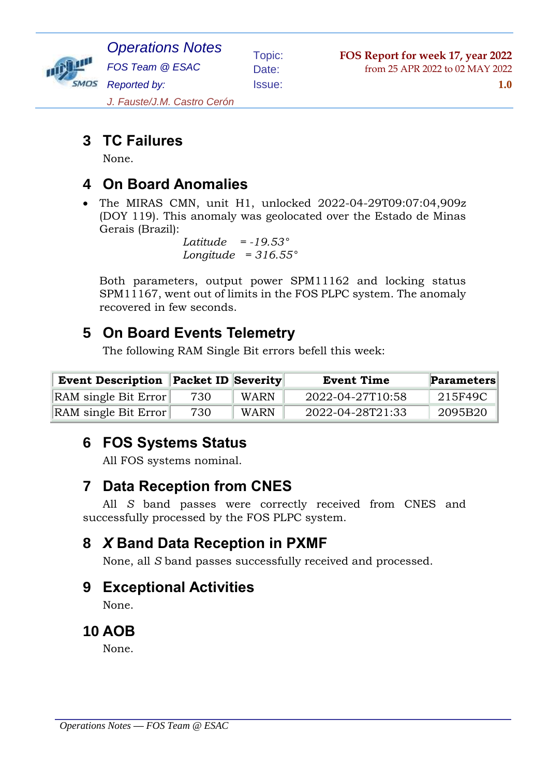

*Operations Notes FOS Team @ ESAC Reported by: J. Fauste/J.M. Castro Cerón*

Issue: **1.0**

# **3 TC Failures**

None.

### **4 On Board Anomalies**

 The MIRAS CMN, unit H1, unlocked 2022-04-29T09:07:04,909z (DOY 119). This anomaly was geolocated over the Estado de Minas Gerais (Brazil):

 *Latitude = -19.53° Longitude = 316.55°*

Both parameters, output power SPM11162 and locking status SPM11167, went out of limits in the FOS PLPC system. The anomaly recovered in few seconds.

### **5 On Board Events Telemetry**

The following RAM Single Bit errors befell this week:

| <b>Event Description Packet ID Severity</b> |     |             | <b>Event Time</b> | <b>Parameters</b> |  |
|---------------------------------------------|-----|-------------|-------------------|-------------------|--|
| RAM single Bit Error                        | 730 | <b>WARN</b> | 2022-04-27T10:58  | 215F49C           |  |
| RAM single Bit Error                        | 730 | WARN        | 2022-04-28T21:33  | 2095B20           |  |

# **6 FOS Systems Status**

All FOS systems nominal.

## **7 Data Reception from CNES**

All *S* band passes were correctly received from CNES and successfully processed by the FOS PLPC system.

## **8** *X* **Band Data Reception in PXMF**

None, all *S* band passes successfully received and processed.

### **9 Exceptional Activities**

None.

### **10 AOB**

None.